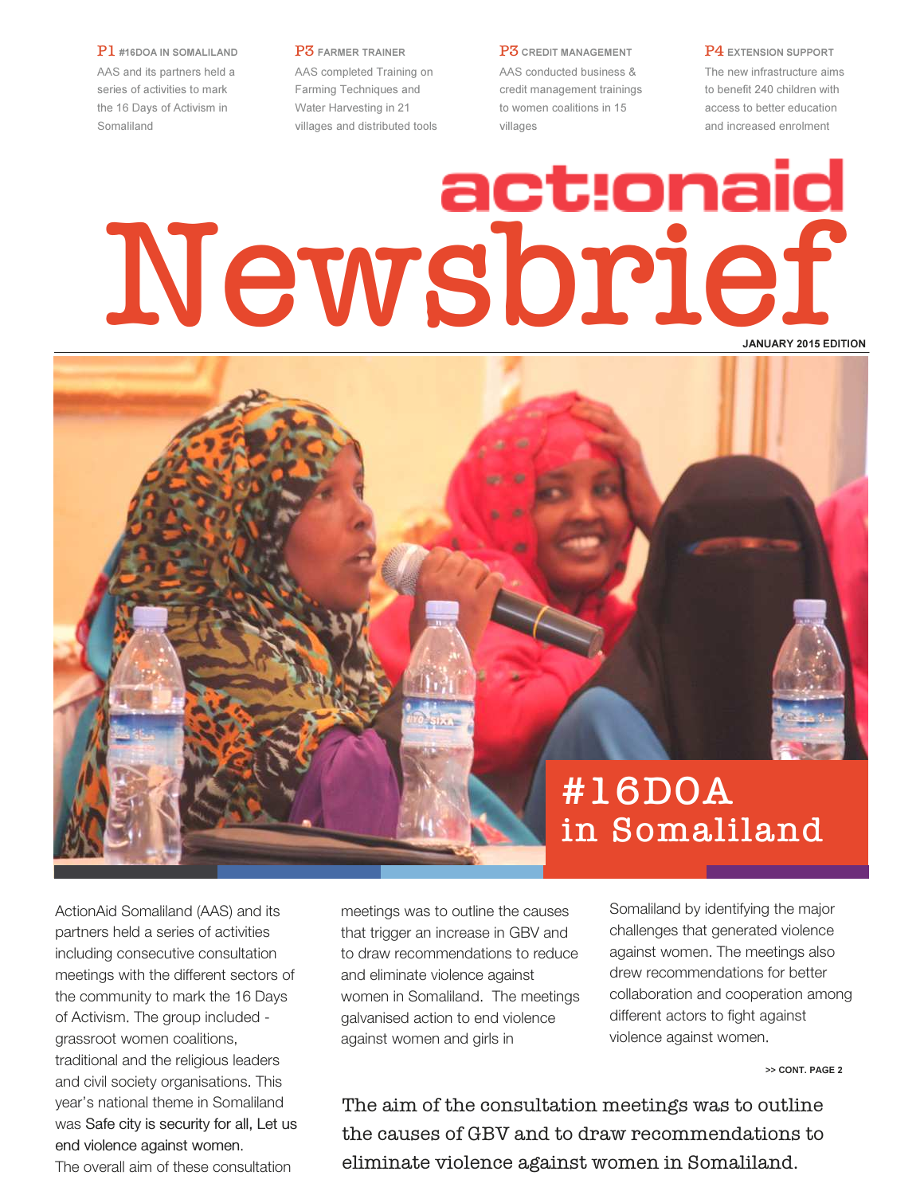P1 #16DOA IN SOMALILAND AAS and its partners held a series of activities to mark the 16 Days of Activism in Somaliland

P3 FARMER TRAINER AAS completed Training on Farming Techniques and Water Harvesting in 21 villages and distributed tools P3 CREDIT MANAGEMENT

AAS conducted business & credit management trainings to women coalitions in 15 villages

P4 EXTENSION SUPPORT The new infrastructure aims to benefit 240 children with access to better education and increased enrolment

# Newsbrief JANUARY 2015 EDITION



ActionAid Somaliland (AAS) and its partners held a series of activities including consecutive consultation meetings with the different sectors of the community to mark the 16 Days of Activism. The group included grassroot women coalitions, traditional and the religious leaders and civil society organisations. This year's national theme in Somaliland was Safe city is security for all, Let us end violence against women. The overall aim of these consultation

meetings was to outline the causes that trigger an increase in GBV and to draw recommendations to reduce and eliminate violence against women in Somaliland. The meetings galvanised action to end violence against women and girls in

Somaliland by identifying the major challenges that generated violence against women. The meetings also drew recommendations for better collaboration and cooperation among different actors to fight against violence against women.

>> CONT. PAGE 2

The aim of the consultation meetings was to outline the causes of GBV and to draw recommendations to eliminate violence against women in Somaliland.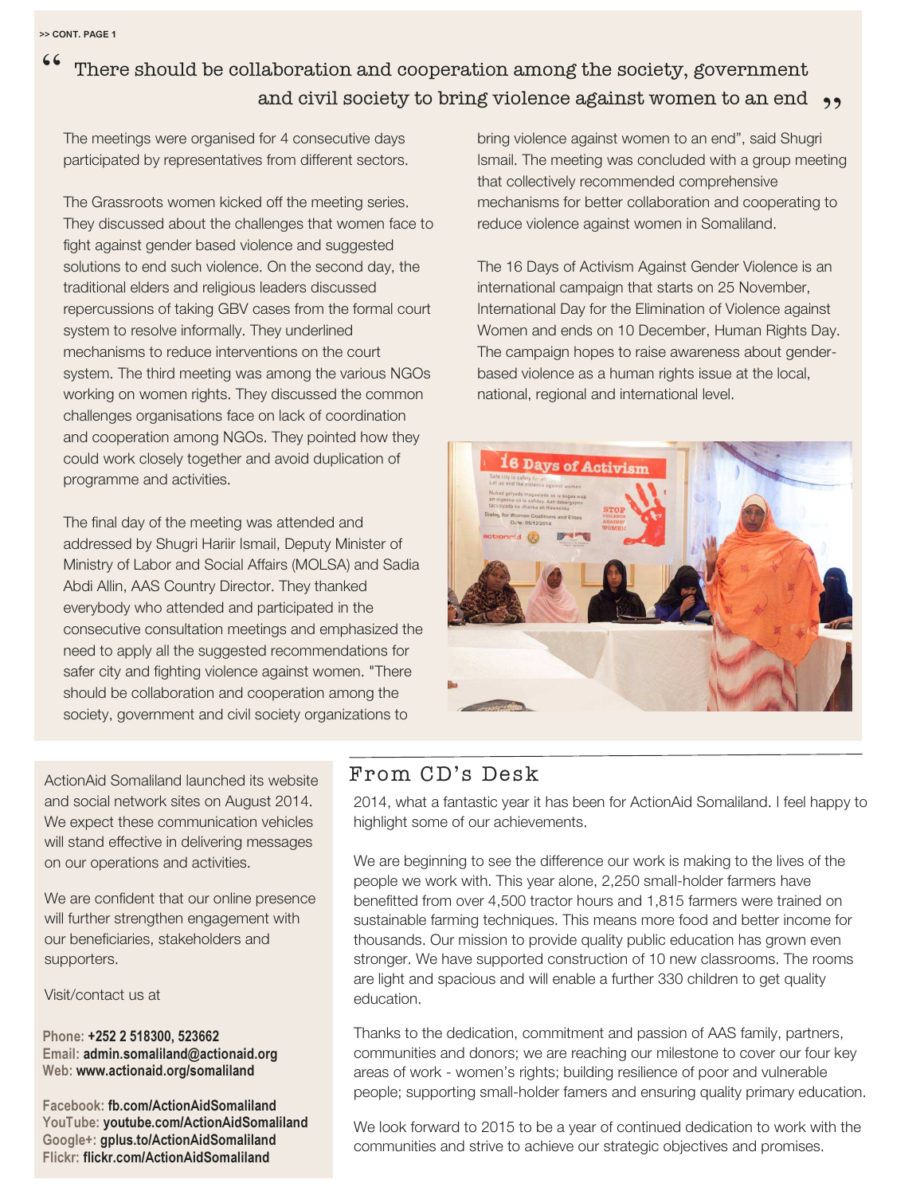## There should be collaboration and cooperation among the society, government and civil society to bring violence against women to an end  $\rightarrow$ "

The meetings were organised for 4 consecutive days participated by representatives from different sectors.

The Grassroots women kicked off the meeting series. They discussed about the challenges that women face to fight against gender based violence and suggested solutions to end such violence. On the second day, the traditional elders and religious leaders discussed repercussions of taking GBV cases from the formal court system to resolve informally. They underlined mechanisms to reduce interventions on the court system. The third meeting was among the various NGOs working on women rights. They discussed the common challenges organisations face on lack of coordination and cooperation among NGOs. They pointed how they could work closely together and avoid duplication of programme and activities.

The final day of the meeting was attended and addressed by Shugri Hariir Ismail, Deputy Minister of Ministry of Labor and Social Affairs (MOLSA) and Sadia Abdi Allin, AAS Country Director. They thanked everybody who attended and participated in the consecutive consultation meetings and emphasized the need to apply all the suggested recommendations for safer city and fighting violence against women. "There should be collaboration and cooperation among the society, government and civil society organizations to

bring violence against women to an end", said Shugri Ismail. The meeting was concluded with a group meeting that collectively recommended comprehensive mechanisms for better collaboration and cooperating to reduce violence against women in Somaliland.

The 16 Days of Activism Against Gender Violence is an international campaign that starts on 25 November, International Day for the Elimination of Violence against Women and ends on 10 December, Human Rights Day. The campaign hopes to raise awareness about genderbased violence as a human rights issue at the local, national, regional and international level.



ActionAid Somaliland launched its website and social network sites on August 2014. We expect these communication vehicles will stand effective in delivering messages on our operations and activities.

We are confident that our online presence will further strengthen engagement with our beneficiaries, stakeholders and supporters.

Visit/contact us at

Phone: +252 2 518300, 523662 Email: admin.somaliland@actionaid.org Web: www.actionaid.org/somaliland

Facebook: fb.com/ActionAidSomaliland YouTube: youtube.com/ActionAidSomaliland Google+: gplus.to/ActionAidSomaliland Flickr: flickr.com/ActionAidSomaliland

## From CD's Desk

2014, what a fantastic year it has been for ActionAid Somaliland. I feel happy to highlight some of our achievements.

We are beginning to see the difference our work is making to the lives of the people we work with. This year alone, 2,250 small-holder farmers have benefitted from over 4,500 tractor hours and 1,815 farmers were trained on sustainable farming techniques. This means more food and better income for thousands. Our mission to provide quality public education has grown even stronger. We have supported construction of 10 new classrooms. The rooms are light and spacious and will enable a further 330 children to get quality education.

Thanks to the dedication, commitment and passion of AAS family, partners, communities and donors; we are reaching our milestone to cover our four key areas of work - women's rights; building resilience of poor and vulnerable people; supporting small-holder famers and ensuring quality primary education.

We look forward to 2015 to be a year of continued dedication to work with the communities and strive to achieve our strategic objectives and promises.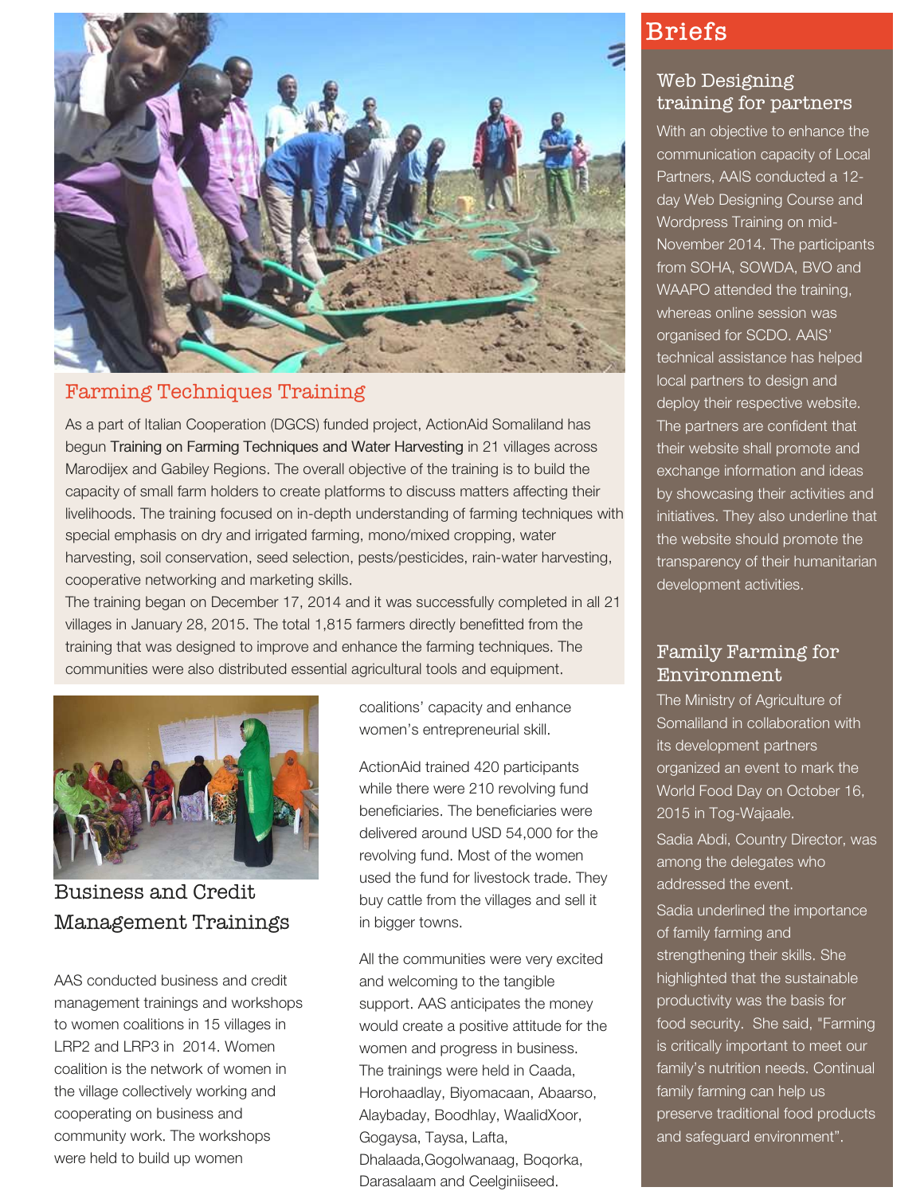

#### Farming Techniques Training

As a part of Italian Cooperation (DGCS) funded project, ActionAid Somaliland has begun Training on Farming Techniques and Water Harvesting in 21 villages across Marodijex and Gabiley Regions. The overall objective of the training is to build the capacity of small farm holders to create platforms to discuss matters affecting their livelihoods. The training focused on in-depth understanding of farming techniques with special emphasis on dry and irrigated farming, mono/mixed cropping, water harvesting, soil conservation, seed selection, pests/pesticides, rain-water harvesting, cooperative networking and marketing skills.

The training began on December 17, 2014 and it was successfully completed in all 21 villages in January 28, 2015. The total 1,815 farmers directly benefitted from the training that was designed to improve and enhance the farming techniques. The communities were also distributed essential agricultural tools and equipment.



Business and Credit Management Trainings

AAS conducted business and credit management trainings and workshops to women coalitions in 15 villages in LRP2 and LRP3 in 2014. Women coalition is the network of women in the village collectively working and cooperating on business and community work. The workshops were held to build up women

coalitions' capacity and enhance women's entrepreneurial skill.

ActionAid trained 420 participants while there were 210 revolving fund beneficiaries. The beneficiaries were delivered around USD 54,000 for the revolving fund. Most of the women used the fund for livestock trade. They buy cattle from the villages and sell it in bigger towns.

All the communities were very excited and welcoming to the tangible support. AAS anticipates the money would create a positive attitude for the women and progress in business. The trainings were held in Caada, Horohaadlay, Biyomacaan, Abaarso, Alaybaday, Boodhlay, WaalidXoor, Gogaysa, Taysa, Lafta, Dhalaada,Gogolwanaag, Boqorka, Darasalaam and Ceelginiiseed.

# Briefs

#### Web Designing training for partners

With an objective to enhance the communication capacity of Local Partners, AAIS conducted a 12 day Web Designing Course and Wordpress Training on mid-November 2014. The participants from SOHA, SOWDA, BVO and WAAPO attended the training, whereas online session was organised for SCDO. AAIS' technical assistance has helped local partners to design and deploy their respective website. The partners are confident that their website shall promote and exchange information and ideas by showcasing their activities and initiatives. They also underline that the website should promote the transparency of their humanitarian development activities.

#### Family Farming for Environment

The Ministry of Agriculture of Somaliland in collaboration with its development partners organized an event to mark the World Food Day on October 16, 2015 in Tog-Wajaale. Sadia Abdi, Country Director, was among the delegates who addressed the event. Sadia underlined the importance of family farming and strengthening their skills. She highlighted that the sustainable productivity was the basis for food security. She said, "Farming is critically important to meet our family's nutrition needs. Continual family farming can help us preserve traditional food products and safeguard environment".